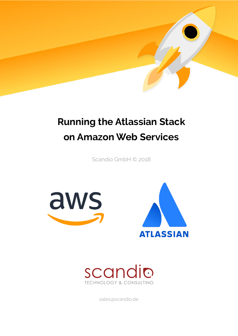

# **Running the Atlassian Stack on Amazon Web Services**

Scandio GmbH © 2018







sales@scandio.de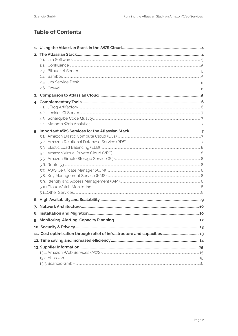## **Table of Contents**

| 4. |  |  |  |  |
|----|--|--|--|--|
|    |  |  |  |  |
|    |  |  |  |  |
|    |  |  |  |  |
|    |  |  |  |  |
|    |  |  |  |  |
|    |  |  |  |  |
|    |  |  |  |  |
|    |  |  |  |  |
|    |  |  |  |  |
|    |  |  |  |  |
|    |  |  |  |  |
|    |  |  |  |  |
|    |  |  |  |  |
|    |  |  |  |  |
|    |  |  |  |  |
|    |  |  |  |  |
|    |  |  |  |  |
| 7. |  |  |  |  |
|    |  |  |  |  |
|    |  |  |  |  |
|    |  |  |  |  |
|    |  |  |  |  |
|    |  |  |  |  |
|    |  |  |  |  |
|    |  |  |  |  |
|    |  |  |  |  |
|    |  |  |  |  |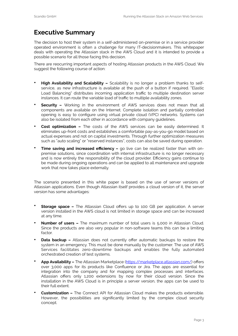## **Executive Summary**

The decision to host their system in a self-administered on-premise or in a service provider operated environment is often a challenge for many IT-decisionmakers. This whitepaper deals with operating the Atlassian stack in the AWS Cloud and it is intended to provide a possible scenario for all those facing this decision.

There are reocurring important aspects of hosting Atlassian products in the AWS Cloud. We suggest the following course of action:

- **High Availability and Scalability –** Scalability is no longer a problem thanks to selfservice, as new infrastructure is available at the push of a button if required. "Elastic Load Balancing" distributes incoming application traffic to multiple destination server instances. It can route the variable load of traffic to multiple availability zones.
- **Security –** Working in the environment of AWS services does not mean that all components are available on the Internet. Complete isolation and partially controlled opening is easy to configure using virtual private cloud (VPC) networks. Systems can also be isolated from each other in accordance with company guidelines.
- **Cost optimization** The costs of the AWS services can be easily determined. It eliminates up-front costs and establishes a comfortable pay-as-you-go model based on actual expenses and not on capital investments. Through further optimization measures such as "auto scaling" or "reserved instances", costs can also be saved during operation.
- **Time saving and increased efficiency –** go live can be realized faster than with onpremise solutions, since coordination with internal infrastructure is no longer necessary and is now entirely the responsibility of the cloud provider. Efficiency gains continue to be made during ongoing operations and can be applied to all maintenance and upgrade work that now takes place externally.

The scenario presented in this white paper is based on the use of server versions of Atlassian applications. Even though Atlassian itself provides a cloud version of it, the server version has some advantages:

- **Storage space -** The Atlassian Cloud offers up to 100 GB per application. A server version installed in the AWS cloud is not limited in storage space and can be increased at any time.
- **Number of users –** The maximum number of total users is 5,000 in Atlassian Cloud. Since the products are also very popular in non-software teams this can be a limiting factor.
- **Data backup -** Atlassian does not currently offer automatic backups to restore the system in an emergency. This must be done manually by the customer. The use of AWS Services facilitates zero-downtime backups and enables the fully automated orchestrated creation of test systems.
- **App Availability –** The Atlassian Marketplace ([https://marketplace.atlassian.com/\)](https://marketplace.atlassian.com/) offers over 3,000 apps for its products like Confluence or Jira. The apps are essential for integration into the company and for mapping complex processes and interfaces. Atlassian offers only 1,200 extensions by now for their cloud version. Since the installation in the AWS Cloud is in principle a server version, the apps can be used to their full extent.
- **Customization –** The Connect API for Atlassian Cloud makes the products extensible. However, the possibilities are significantly limited by the complex cloud security concept.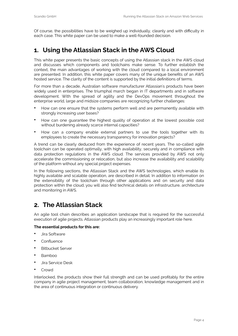Of course, the possibilities have to be weighed up individually, cleanly and with difficulty in each case. This white paper can be used to make a well-founded decision.

## <span id="page-3-0"></span>**1. Using the Atlassian Stack in the AWS Cloud**

This white paper presents the basic concepts of using the Atlassian stack in the AWS cloud and discusses which components and toolchains make sense. To further establish the context, the main advantages of working with the cloud compared to a local environment are presented. In addition, this white paper covers many of the unique benefits of an AWS hosted service. The clarity of the content is supported by the initial definitions of terms.

For more than a decade, Australian software manufacturer Atlassian's products have been widely used in enterprises. The triumphal march began in IT departments and in software development. With the spread of agility and the DevOps movement throughout the enterprise world, large and midsize companies are recognizing further challenges:

- How can one ensure that the systems perform well and are permanently available with strongly increasing user bases?
- How can one guarantee the highest quality of operation at the lowest possible cost without burdening already scarce internal capacities?
- How can a company enable external partners to use the tools together with its employees to create the necessary transparency for innovation projects?

A trend can be clearly deduced from the experience of recent years. The so-called agile toolchain can be operated optimally, with high availability, securely and in compliance with data protection regulations in the AWS cloud. The services provided by AWS not only accelerate the commissioning or relocation, but also increase the availability and scalability of the platform without any special project expenses.

In the following sections, the Atlassian Stack and the AWS technologies, which enable its highly available and scalable operation, are described in detail. In addition to information on the extensibility of the toolchain through other applications and on security and data protection within the cloud, you will also find technical details on infrastructure, architecture and monitoring in AWS.

## <span id="page-3-1"></span>**2. The Atlassian Stack**

An agile tool chain describes an application landscape that is required for the successful execution of agile projects. Atlassian products play an increasingly important role here.

#### **The essential products for this are:**

- Jira Software
- Confluence
- **Bitbucket Server**
- Bamboo
- Jira Service Desk
- **Crowd**

Interlocked, the products show their full strength and can be used profitably for the entire company in agile project management, team collaboration, knowledge management and in the area of continuous integration or continuous delivery.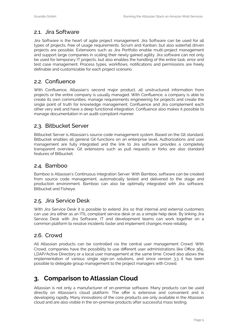### <span id="page-4-0"></span>2.1. Jira Software

Jira Software is the heart of agile project management. Jira Software can be used for all types of projects, free of usage requirements. Scrum and Kanban, but also waterfall driven projects are possible. Extensions such as Jira Portfolio enable multi-project management and support large companies in scaling their newly gained agility. Jira software can not only be used for temporary IT projects, but also enables the handling of the entire task, error and test case management. Process types, workflows, notifications and permissions are freely definable and customizable for each project scenario.

#### <span id="page-4-1"></span>2.2. Confluence

With Confluence, Atlassian's second major product, all unstructured information from projects or the entire company is usually managed. With Confluence, a company is able to create its own communities, manage requirements engineering for projects and create the single point of truth for knowledge management. Confluence and Jira complement each other very well and have a deep functional integration. Confluence also makes it possible to manage documentation in an audit-compliant manner.

#### <span id="page-4-2"></span>2.3. Bitbucket Server

Bitbucket Server is Atlassian's source code management system. Based on the Git standard, Bitbucket enables all general Git functions on an enterprise level. Authorizations and user management are fully integrated and the link to Jira software provides a completely transparent overview. Git extensions such as pull requests or forks are also standard features of Bitbucket.

#### <span id="page-4-3"></span>2.4. Bamboo

Bamboo is Atlassian's Continuous Integration Server. With Bamboo, software can be created from source code management, automatically tested and delivered to the stage and production environment. Bamboo can also be optimally integrated with Jira software, Bitbucket and Fisheye.

#### <span id="page-4-4"></span>2.5. Jira Service Desk

With Jira Service Desk it is possible to extend Jira so that internal and external customers can use Jira either as an ITIL compliant service desk or as a simple help desk. By linking Jira Service Desk with Jira Software, IT and development teams can work together on a common platform to resolve incidents faster and implement changes more reliably.

#### <span id="page-4-5"></span>2.6. Crowd

All Atlassian products can be controlled via the central user management Crowd. With Crowd, companies have the possibility to use different user administrations like Office 365, LDAP/Active Directory or a local user management at the same time. Crowd also allows the implementation of various single sign-on solutions, and since version 3.3 it has been possible to delegate group management to the project managers with Crowd.

## <span id="page-4-6"></span>**3. Comparison to Atlassian Cloud**

Atlassian is not only a manufacturer of on-premise software. Many products can be used directly on Atlassian's cloud platform. The offer is extensive and convenient and is developing rapidly. Many innovations of the core products are only available in the Atlassian cloud and are also visible in the on-premise products after successful mass testing.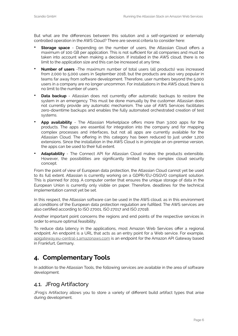But what are the differences between this solution and a self-organized or externally controlled operation in the AWS Cloud? There are several criteria to consider here:

- **Storage space** Depending on the number of users, the Atlassian Cloud offers a maximum of 100 GB per application. This is not sufficient for all companies and must be taken into account when making a decision. If installed in the AWS cloud, there is no limit to the application size and this can be increased at any time.
- **Number of users** -The maximum number of total users (all products) was increased from 2,000 to 5,000 users in September 2018, but the products are also very popular in teams far away from software development. Therefore, user numbers beyond the 5,000 users in a company are no longer uncommon. For installations in the AWS cloud, there is no limit to the number of users.
- **Data backup** Atlassian does not currently offer automatic backups to restore the system in an emergency. This must be done manually by the customer. Atlassian does not currently provide any automatic mechanism. The use of AWS Services facilitates zero-downtime backups and enables the fully automated orchestrated creation of test systems.
- **App availability** The Atlassian Marketplace offers more than 3,000 apps for the products. The apps are essential for integration into the company and for mapping complex processes and interfaces, but not all apps are currently available for the Atlassian Cloud. The offering in this category has been reduced to just under 1,200 extensions. Since the installation in the AWS Cloud is in principle an on-premise version, the apps can be used to their full extent.
- **Adaptability** The Connect API for Atlassian Cloud makes the products extensible. However, the possibilities are significantly limited by the complex cloud security concept.

From the point of view of European data protection, the Atlassian Cloud cannot yet be used to its full extent. Atlassian is currently working on a GDPR/EU-DSGVO compliant solution. This is planned for 2019. A computer center that ensures the unique storage of data in the European Union is currently only visible on paper. Therefore, deadlines for the technical implementation cannot yet be set.

In this respect, the Atlassian software can be used in the AWS cloud, as in this environment all conditions of the European data protection regulation are fulfilled. The AWS services are also certified according to ISO 27001, ISO 27017 and ISO 27018.

Another important point concerns the regions and end points of the respective services in order to ensure optimal feasibility.

To reduce data latency in the applications, most Amazon Web Services offer a regional endpoint. An endpoint is a URL that acts as an entry point for a Web service. For example, [apigateway.eu-central-1.amazonaws.com](http://apigateway.eu-central-1.amazonaws.com) is an endpoint for the Amazon API Gateway based in Frankfurt, Germany.

# <span id="page-5-0"></span>**4. Complementary Tools**

In addition to the Atlassian Tools, the following services are available in the area of software development.

#### <span id="page-5-1"></span>4.1. JFrog Artifactory

JFrog's Artifactory allows you to store a variety of different build artifact types that arise during development.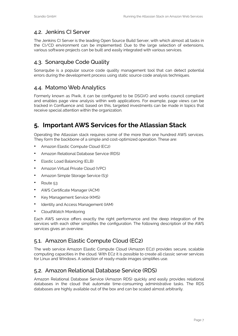#### <span id="page-6-0"></span>4.2. Jenkins CI Server

The Jenkins CI Server is the leading Open Source Build Server, with which almost all tasks in the CI/CD environment can be implemented. Due to the large selection of extensions, various software projects can be built and easily integrated with various services.

#### <span id="page-6-1"></span>4.3. Sonarqube Code Quality

Sonarqube is a popular source code quality management tool that can detect potential errors during the development process using static source code analysis techniques.

#### <span id="page-6-2"></span>4.4. Matomo Web Analytics

Formerly known as Piwik, it can be configured to be DSGVO and works council compliant and enables page view analysis within web applications. For example, page views can be tracked in Confluence and, based on this, targeted investments can be made in topics that receive special attention within the organization.

## <span id="page-6-3"></span>**5. Important AWS Services for the Atlassian Stack**

Operating the Atlassian stack requires some of the more than one hundred AWS services. They form the backbone of a simple and cost-optimized operation. These are:

- Amazon Elastic Compute Cloud (EC2)
- Amazon Relational Database Service (RDS)
- Elastic Load Balancing (ELB)
- Amazon Virtual Private Cloud (VPC)
- Amazon Simple Storage Service (S3)
- Route 53
- AWS Certificate Manager (ACM)
- Key Management Service (KMS)
- Identity and Access Management (IAM)
- CloudWatch Monitoring

Each AWS service offers exactly the right performance and the deep integration of the services with each other simplifies the configuration. The following description of the AWS services gives an overview.

#### <span id="page-6-4"></span>5.1. Amazon Elastic Compute Cloud (EC2)

The web service Amazon Elastic Compute Cloud (Amazon EC2) provides secure, scalable computing capacities in the cloud. With EC2 it is possible to create all classic server services for Linux and Windows. A selection of ready-made images simplifies use.

#### <span id="page-6-5"></span>5.2. Amazon Relational Database Service (RDS)

Amazon Relational Database Service (Amazon RDS) quickly and easily provides relational databases in the cloud that automate time-consuming administrative tasks. The RDS databases are highly available out of the box and can be scaled almost arbitrarily.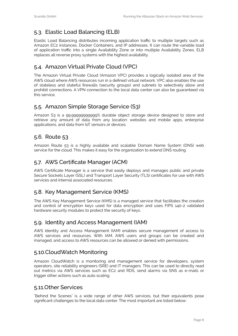## <span id="page-7-0"></span>5.3. Elastic Load Balancing (ELB)

Elastic Load Balancing distributes incoming application traffic to multiple targets such as Amazon EC2 instances, Docker Containers, and IP addresses. It can route the variable load of application traffic into a single Availability Zone or into multiple Availability Zones. ELB replaces all reverse proxy systems with the highest availability.

#### <span id="page-7-1"></span>5.4. Amazon Virtual Private Cloud (VPC)

The Amazon Virtual Private Cloud (Amazon VPC) provides a logically isolated area of the AWS cloud where AWS resources run in a defined virtual network. VPC also enables the use of stateless and stateful firewalls (security groups) and subnets to selectively allow and prohibit connections. A VPN connection to the local data center can also be guaranteed via this service.

#### <span id="page-7-2"></span>5.5. Amazon Simple Storage Service (S3)

Amazon S3 is a 99.99999999999% durable object storage device designed to store and retrieve any amount of data from any location: websites and mobile apps, enterprise applications, and data from IoT sensors or devices.

#### <span id="page-7-3"></span>5.6. Route 53

Amazon Route 53 is a highly available and scalable Domain Name System (DNS) web service for the cloud. This makes it easy for the organization to extend DNS routing.

#### <span id="page-7-4"></span>5.7. AWS Certificate Manager (ACM)

AWS Certificate Manager is a service that easily deploys and manages public and private Secure Sockets Layer (SSL) and Transport Layer Security (TLS) certificates for use with AWS services and internal associated resources.

#### <span id="page-7-5"></span>5.8. Key Management Service (KMS)

The AWS Key Management Service (KMS) is a managed service that facilitates the creation and control of encryption keys used for data encryption and uses FIPS 140-2 validated hardware security modules to protect the security of keys.

#### <span id="page-7-6"></span>5.9. Identity and Access Management (IAM)

AWS Identity and Access Management (IAM) enables secure management of access to AWS services and resources. With IAM, AWS users and groups can be created and managed, and access to AWS resources can be allowed or denied with permissions.

#### <span id="page-7-7"></span>5.10.CloudWatch Monitoring

Amazon CloudWatch is a monitoring and management service for developers, system operators, site reliability engineers (SRE) and IT managers. This can be used to directly read out metrics via AWS services such as EC2 and RDS, send alarms via SNS as e-mails or trigger other actions such as auto scaling.

#### <span id="page-7-8"></span>5.11.Other Services

"Behind the Scenes" is a wide range of other AWS services, but their equivalents pose significant challenges to the local data center. The most important are listed below: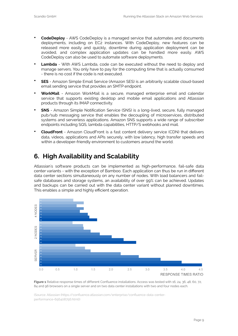- **CodeDeploy** AWS CodeDeploy is a managed service that automates and documents deployments, including on EC2 instances. With CodeDeploy, new features can be released more easily and quickly, downtime during application deployment can be avoided, and complex application updates can be handled more easily. AWS CodeDeploy can also be used to automate software deployments.
- **Lambda** With AWS Lambda, code can be executed without the need to deploy and manage servers. You only have to pay for the computing time that is actually consumed - there is no cost if the code is not executed.
- **SES** Amazon Simple Email Service (Amazon SES) is an arbitrarily scalable cloud-based email sending service that provides an SMTP endpoint.
- **WorkMail** Amazon WorkMail is a secure, managed enterprise email and calendar service that supports existing desktop and mobile email applications and Atlassian products through its IMAP connectivity.
- **SNS** Amazon Simple Notification Service (SNS) is a long-lived, secure, fully managed pub/sub messaging service that enables the decoupling of microservices, distributed systems and serverless applications. Amazon SNS supports a wide range of subscriber endpoints including SQS, lambda capabilities, HTTP/S webhooks and mail.
- **CloudFront** Amazon CloudFront is a fast content delivery service (CDN) that delivers data, videos, applications and APIs securely, with low latency, high transfer speeds and within a developer-friendly environment to customers around the world.

## <span id="page-8-0"></span>**6. High Availability and Scalability**

Atlassian's software products can be implemented as high-performance, fail-safe data center variants - with the exception of Bamboo. Each application can thus be run in different data center sections simultaneously on any number of nodes. With load balancers and failsafe databases and storage systems, an availability of over 99% can be achieved. Updates and backups can be carried out with the data center variant without planned downtimes. This enables a simple and highly efficient operation.





(Source: Atlassian (https://confl[uence.atlassian.com/enterprise/con](https://confluence.atlassian.com/enterprise/confluence-data-center-performance-656408756.html)fluence-data-center[performance-656408756.html\)\)](https://confluence.atlassian.com/enterprise/confluence-data-center-performance-656408756.html)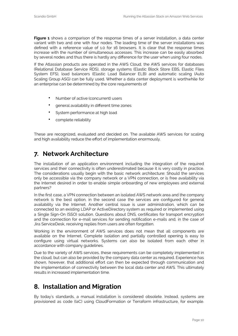**Figure 1** shows a comparison of the response times of a server installation, a data center variant with two and one with four nodes. The loading time of the server installations was defined with a reference value of 1.0 for 16 browsers. It is clear that the response times increase with the number of simultaneous accesses. This increase can be easily absorbed by several nodes and thus there is hardly any difference for the user when using four nodes.

If the Atlassian products are operated in the AWS Cloud, the AWS services for databases (Relational Database Service RDS), storage systems (Elastic Block Store EBS, Elastic Files System EFS), load balancers (Elastic Load Balancer ELB) and automatic scaling (Auto Scaling Group ASG) can be fully used. Whether a data center deployment is worthwhile for an enterprise can be determined by the core requirements of

- Number of active (concurrent) users
- general availability in different time zones
- System performance at high load
- complete reliability

These are recognized, evaluated and decided on. The available AWS services for scaling and high availability reduce the effort of implementation enormously.

## <span id="page-9-0"></span>**7. Network Architecture**

The installation of an application environment including the integration of the required services and their connectivity is often underestimated because it is very costly in practice. The considerations usually begin with the basic network architecture: Should the services only be accessible via the company network or a VPN connection, or is free availability via the Internet desired in order to enable simple onboarding of new employees and external partners?

In the first case, a VPN connection between an isolated AWS network area and the company network is the best option, in the second case the services are configured for general availability via the Internet. Another central issue is user administration, which can be connected to an existing LDAP or ActiveDirectory system as required or implemented using a Single Sign-On (SSO) solution. Questions about DNS, certificates for transport encryption and the connection for e-mail services for sending notification e-mails and, in the case of Jira ServiceDesk, receiving replies from users are often forgotten.

Working in the environment of AWS services does not mean that all components are available on the Internet. Complete isolation and partially controlled opening is easy to configure using virtual networks. Systems can also be isolated from each other in accordance with company guidelines.

Due to the variety of AWS services, these requirements can be completely implemented in the cloud, but can also be provided by the company data center as required. Experience has shown, however, that additional effort can then be expected through communication and the implementation of connectivity between the local data center and AWS. This ultimately results in increased implementation time.

## <span id="page-9-1"></span>**8. Installation and Migration**

By today's standards, a manual installation is considered obsolete. Instead, systems are provisioned as code (IaC) using CloudFormation or Terraform infrastructure, for example.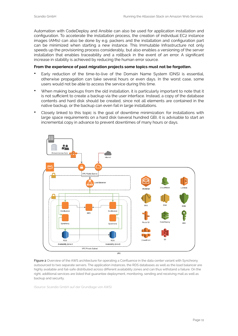Automation with CodeDeploy and Ansible can also be used for application installation and configuration. To accelerate the installation process, the creation of individual EC2 instance images (AMIs) can also be done by e.g. packers and the installation and configuration part can be minimized when starting a new instance. This Immutable Infrastructure not only speeds up the provisioning process considerably, but also enables a versioning of the server installation that enables traceability and a rollback in the event of an error. A significant increase in stability is achieved by reducing the human error source.

#### **From the experience of past migration projects some topics must not be forgotten.**

- Early reduction of the time-to-live of the Domain Name System (DNS) is essential, otherwise propagation can take several hours or even days. In the worst case, some users would not be able to access the service during this time.
- When making backups from the old installation, it is particularly important to note that it is not sufficient to create a backup via the user interface. Instead, a copy of the database contents and hard disk should be created, since not all elements are contained in the native backup, or the backup can even fail in large installations.
- Closely linked to this topic is the goal of downtime minimization: for installations with large space requirements on a hard disk (several hundred GB), it is advisable to start an incremental copy in advance to prevent downtimes of many hours or days.



**Figure 2** Overview of the AWS architecture for operating a Confluence in the data center variant with Synchrony outsourced to two separate servers. The application instances, the RDS databases as well as the load balancer are highly available and fail-safe distributed across different availability zones and can thus withstand a failure. On the right, additional services are listed that guarantee deployment, monitoring, sending and receiving mail as well as backup and security.

(Source: Scandio GmbH auf der Grundlage von AWS)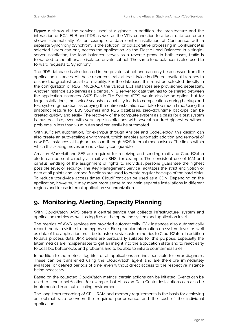Figure 2 shows all the services used at a glance. In addition, the architecture and the interaction of EC2, ELB and RDS as well as the VPN connection to a local data center are shown schematically. As an example, a data center installation of Confluence with a separate Synchrony (Synchrony is the solution for collaborative processing in Confluence) is selected. Users can only access the application via the Elastic Load Balancer. In a singleserver installation, the load balancer serves as a reverse proxy. In both cases, traffic is forwarded to the otherwise isolated private subnet. The same load balancer is also used to forward requests to Synchrony.

The RDS database is also located in the private subnet and can only be accessed from the application instances. All these resources exist at least twice in different availability zones to ensure the greatest possible reliability. For the database, this must be selected directly in the configuration of RDS ("Multi-AZ"), the various EC2 instances are provisioned separately. Another instance also serves as a central NFS server for data that has to be shared between the application instances. AWS Elastic File System (EFS) would also be an option, but for large installations, the lack of snapshot capability leads to complications during backup and test system generation, as copying the entire installation can take too much time. Using the snapshot feature for EBS volumes and RDS databases, zero-downtime backups can be created quickly and easily. The recovery of the complete system as a basis for a test system is thus possible, even with very large installations with several hundred gigabytes, without problems in less than 20 minutes and can easily be automated.

With sufficient automation, for example through Ansible and CodeDeploy, this design can also create an auto-scaling environment, which enables automatic addition and removal of new EC2 instances at high or low load through AWS-internal mechanisms. The limits within which this scaling moves are individually configurable.

Amazon WorkMail and SES are required for receiving and sending mail, and CloudWatch alerts can be sent directly as mail via SNS, for example. The consistent use of IAM and careful handling of the assignment of rights to individual persons guarantee the highest possible level of security. The Key Management Service facilitates the strict encryption of data at all points and lambda functions are used to create regular backups of the hard disks. To reduce worldwide access times, CloudFront can be used as a CDN. Depending on the application, however, it may make more sense to maintain separate installations in different regions and to use internal application synchronization.

## <span id="page-11-0"></span>**9. Monitoring, Alerting, Capacity Planning**

With CloudWatch, AWS offers a central service that collects infrastructure, system and application metrics as well as log files at the operating system and application level.

The metrics of AWS services are provided automatically. EC2 instances also automatically record the data visible to the hypervisor. Fine granular information on system level, as well as data of the application must be transferred via custom metrics to CloudWatch. In addition to Java process data, JMX Beans are particularly suitable for this purpose. Especially the latter metrics are indispensable to get an insight into the application state and to react early to possible bottlenecks and problems and to be able to initiate countermeasures.

In addition to the metrics, log files of all applications are indispensable for error diagnosis. These can be transferred using the CloudWatch agent and are therefore immediately available for defined periods of time, even without direct access to the respective instance being necessary.

Based on the collected CloudWatch metrics, certain actions can be initiated. Events can be used to send a notification, for example, but Atlassian Data Center installations can also be implemented in an auto-scaling environment.

The long-term recording of CPU, RAM and memory requirements is the basis for achieving an optimal ratio between the required performance and the cost of the individual application.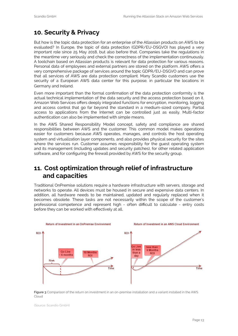## <span id="page-12-0"></span>**10. Security & Privacy**

But how is the topic data protection for an enterprise of the Atlassian products on AWS to be evaluated? In Europe, the topic of data protection (GDPR/EU-DSGVO) has played a very important role since 25 May 2018, but also before that. Companies take the regulations in the meantime very seriously and check the correctness of the implementation continuously. A toolchain based on Atlassian products is relevant for data protection for various reasons. Personal data of employees and external partners are stored on the platform. AWS offers a very comprehensive package of services around the topic GDPR/EU-DSGVO and can prove that all services of AWS are data protection compliant. Many Scandio customers use the security of a European AWS data center for this purpose, in particular the locations in Germany and Ireland.

Even more important than the formal confirmation of the data protection conformity is the actual technical implementation of the data security and the access protection based on it. Amazon Web Services offers deeply integrated functions for encryption, monitoring, logging and access control that go far beyond the standard in a medium-sized company. Partial access to applications from the Internet can be controlled just as easily. Multi-factor authentication can also be implemented with simple means.

In the AWS Shared Responsibility Model concept, safety and compliance are shared responsibilities between AWS and the customer. This common model makes operations easier for customers because AWS operates, manages, and controls the host operating system and virtualization layer components, and also provides physical security for the sites where the services run. Customer assumes responsibility for the guest operating system and its management (including updates and security patches), for other related application software, and for configuring the firewall provided by AWS for the security group.

## <span id="page-12-1"></span>**11. Cost optimization through relief of infrastructure and capacities**

Traditional OnPremise solutions require a hardware infrastructure with servers, storage and networks to operate. All devices must be housed in secure and expensive data centers. In addition, all hardware needs to be maintained, updated and regularly replaced when it becomes obsolete. These tasks are not necessarily within the scope of the customer's professional competence and represent high - often difficult to calculate - entry costs before they can be worked with effectively at all.



**Figure 3** Comparison of the return on investment in an on-premise installation and a variant installed in the AWS Cloud

(Source: Scandio GmbH)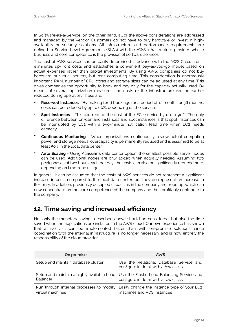In Software-as-a-Service, on the other hand, all of the above considerations are addressed and managed by the vendor. Customers do not have to buy hardware or invest in highavailability or security solutions. All infrastructure and performance requirements are defined in Service Level Agreements (SLAs) with the AWS infrastructure provider, whose business and core competence is the provision of software services.

The cost of AWS services can be easily determined in advance with the AWS Calculator. It eliminates up-front costs and establishes a convenient pay-as-you-go model based on actual expenses rather than capital investments. By using AWS, companies do not buy hardware or virtual servers, but rent computing time. This consideration is enormously important. RAM, number of CPU cores and storage sizes can be adjusted at any time. This gives companies the opportunity to book and pay only for the capacity actually used. By means of several optimization measures, the costs of the infrastructure can be further reduced during operation. These are:

- **Reserved Instances** By making fixed bookings for a period of 12 months or 36 months, costs can be reduced by up to 60%, depending on the service.
- **Spot Instances** This can reduce the cost of the EC2 service by up to 90%. The only difference between on-demand instances and spot instances is that spot instances can be interrupted by EC2 with a two-minute notification lead time when EC2 needs capacity.
- **Continuous Monitoring** When organizations continuously review actual computing power and storage needs, overcapacity is permanently reduced and is assumed to be at least 50% in the local data center.
- **Auto Scaling** Using Atlassian's data center option, the smallest possible server nodes can be used. Additional nodes are only added when actually needed. Assuming two peak phases of two hours each per day, the costs can also be significantly reduced here, depending on time zone usage.

In general, it can be assumed that the costs of AWS services do not represent a significant increase in costs compared to the local data center, but they do represent an increase in flexibility. In addition, previously occupied capacities in the company are freed up, which can now concentrate on the core competence of the company and thus profitably contribute to the company.

## <span id="page-13-0"></span>**12. Time saving and increased efficiency**

Not only the monetary savings described above should be considered, but also the time saved when the applications are installed in the AWS cloud. Our own experience has shown that a live visit can be implemented faster than with on-premise solutions, since coordination with the internal infrastructure is no longer necessary and is now entirely the responsibility of the cloud provider.

| On premise                                                   | <b>AWS</b>                                                                                                                       |
|--------------------------------------------------------------|----------------------------------------------------------------------------------------------------------------------------------|
| Setup and maintain database cluster                          | Use the Relational Database Service and<br>configure in detail with a few clicks                                                 |
| Balancer                                                     | Setup and maintain a highly available Load   Use the Elastic Load Balancing Service and<br>configure in detail with a few clicks |
| Run through internal processes to modify<br>virtual machines | Easily change the instance type of your EC2<br>machines and RDS instances                                                        |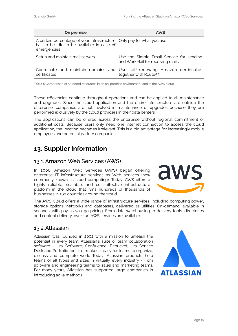| On premise                                                                                                                          | <b>AWS</b>                                                                                         |
|-------------------------------------------------------------------------------------------------------------------------------------|----------------------------------------------------------------------------------------------------|
| A certain percentage of your infrastructure   Only pay for what you use<br>has to be idle to be available in case of<br>emergencies |                                                                                                    |
| Setup and maintain mail servers                                                                                                     | Use the Simple Email Service for sending<br>and WorkMail for receiving mails                       |
| certificates                                                                                                                        | Coordinate and maintain domains and Use self-renewing Amazon certificates<br>together with Route53 |

**Table 1** Comparison of selected resources in an on-premise environment and in the AWS cloud

These efficiencies continue throughout operations and can be applied to all maintenance and upgrades. Since the cloud application and the entire infrastructure are outside the enterprise, companies are not involved in maintenance or upgrades because they are performed exclusively by the cloud providers in their data centers.

The applications can be offered across the enterprise without regional commitment or additional costs. Because users only need one Internet connection to access the cloud application, the location becomes irrelevant. This is a big advantage for increasingly mobile employees and potential partner companies.

## <span id="page-14-0"></span>**13. Supplier Information**

#### <span id="page-14-1"></span>13.1.Amazon Web Services (AWS)

In 2006, Amazon Web Services (AWS) began offering enterprise IT infrastructure services as Web services (now commonly known as cloud computing). Today, AWS offers a highly reliable, scalable, and cost-effective infrastructure platform in the cloud that runs hundreds of thousands of businesses in 190 countries around the world.



The AWS Cloud offers a wide range of infrastructure services, including computing power, storage options, networks and databases, delivered as utilities: On-demand, available in seconds, with pay-as-you-go pricing. From data warehousing to delivery tools, directories and content delivery, over 100 AWS services are available.

#### <span id="page-14-2"></span>13.2.Atlassian

Atlassian was founded in 2002 with a mission to unleash the potential in every team. Atlassian's suite of team collaboration software - Jira Software, Confluence, Bitbucket, Jira Service Desk and Portfolio for Jira - makes it easy for teams to organize, discuss and complete work. Today, Atlassian products help teams of all types and sizes in virtually every industry - from software and engineering teams to sales and marketing teams. For many years, Atlassian has supported large companies in introducing agile methods.